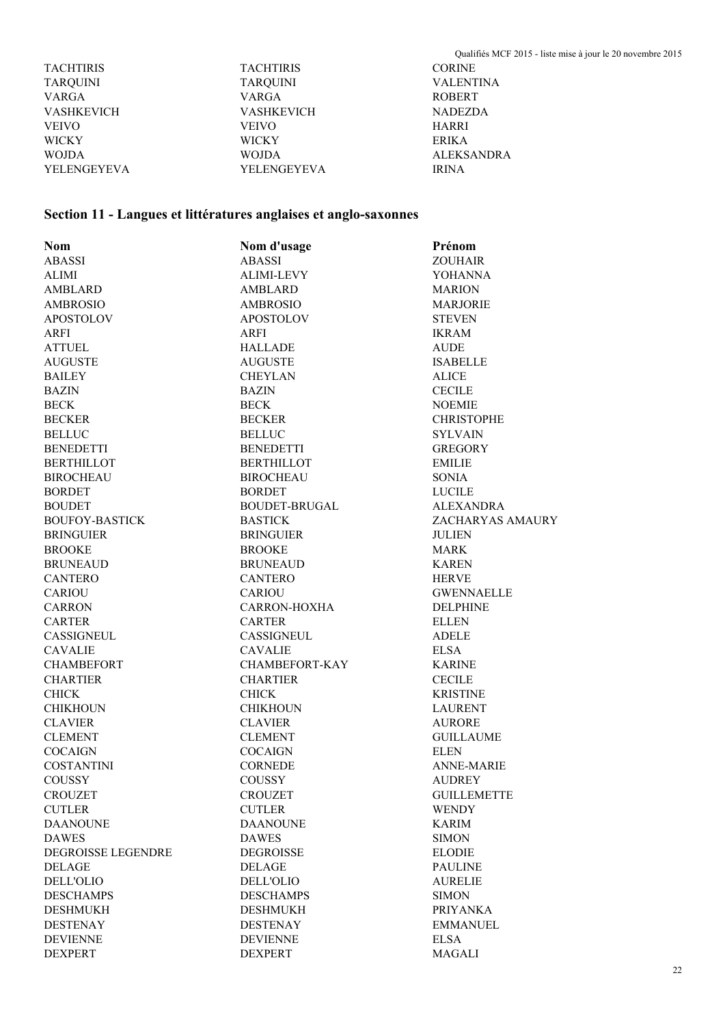|                    |                  | Qualifiés MCF 2015 - liste mise à jour le 20 novembre 2015 |
|--------------------|------------------|------------------------------------------------------------|
| <b>TACHTIRIS</b>   | <b>TACHTIRIS</b> | <b>CORINE</b>                                              |
| TARQUINI           | <b>TARQUINI</b>  | <b>VALENTINA</b>                                           |
| VARGA              | <b>VARGA</b>     | <b>ROBERT</b>                                              |
| <b>VASHKEVICH</b>  | VASHKEVICH       | <b>NADEZDA</b>                                             |
| <b>VEIVO</b>       | <b>VEIVO</b>     | <b>HARRI</b>                                               |
| <b>WICKY</b>       | <b>WICKY</b>     | <b>ERIKA</b>                                               |
| <b>WOJDA</b>       | <b>WOJDA</b>     | <b>ALEKSANDRA</b>                                          |
| <b>YELENGEYEVA</b> | YELENGEYEVA      | <b>IRINA</b>                                               |

## **Section 11 - Langues et littératures anglaises et anglo-saxonnes**

| <b>Nom</b>            | Nom d'usage       | Prénom             |
|-----------------------|-------------------|--------------------|
| <b>ABASSI</b>         | <b>ABASSI</b>     | <b>ZOUHAIR</b>     |
| <b>ALIMI</b>          | ALIMI-LEVY        | <b>YOHANNA</b>     |
| AMBLARD               | <b>AMBLARD</b>    | <b>MARION</b>      |
| <b>AMBROSIO</b>       | <b>AMBROSIO</b>   | <b>MARJORIE</b>    |
| <b>APOSTOLOV</b>      | <b>APOSTOLOV</b>  | <b>STEVEN</b>      |
| <b>ARFI</b>           | ARFI              | <b>IKRAM</b>       |
| <b>ATTUEL</b>         | <b>HALLADE</b>    | <b>AUDE</b>        |
| <b>AUGUSTE</b>        | AUGUSTE           | <b>ISABELLE</b>    |
| <b>BAILEY</b>         | <b>CHEYLAN</b>    | <b>ALICE</b>       |
| <b>BAZIN</b>          | BAZIN             | <b>CECILE</b>      |
| <b>BECK</b>           | <b>BECK</b>       | <b>NOEMIE</b>      |
| <b>BECKER</b>         | <b>BECKER</b>     | <b>CHRISTOPHE</b>  |
| <b>BELLUC</b>         | <b>BELLUC</b>     | <b>SYLVAIN</b>     |
| <b>BENEDETTI</b>      | <b>BENEDETTI</b>  | <b>GREGORY</b>     |
| <b>BERTHILLOT</b>     | <b>BERTHILLOT</b> | <b>EMILIE</b>      |
| <b>BIROCHEAU</b>      | <b>BIROCHEAU</b>  | <b>SONIA</b>       |
| <b>BORDET</b>         | <b>BORDET</b>     | <b>LUCILE</b>      |
| <b>BOUDET</b>         | BOUDET-BRUGAL     | <b>ALEXANDRA</b>   |
| <b>BOUFOY-BASTICK</b> | <b>BASTICK</b>    | ZACHARYAS AMAURY   |
| <b>BRINGUIER</b>      | <b>BRINGUIER</b>  | <b>JULIEN</b>      |
| <b>BROOKE</b>         | <b>BROOKE</b>     | <b>MARK</b>        |
| <b>BRUNEAUD</b>       | <b>BRUNEAUD</b>   | <b>KAREN</b>       |
| <b>CANTERO</b>        | <b>CANTERO</b>    | <b>HERVE</b>       |
| <b>CARIOU</b>         | <b>CARIOU</b>     | <b>GWENNAELLE</b>  |
| <b>CARRON</b>         | CARRON-HOXHA      | <b>DELPHINE</b>    |
| <b>CARTER</b>         | <b>CARTER</b>     | <b>ELLEN</b>       |
| CASSIGNEUL            | <b>CASSIGNEUL</b> | <b>ADELE</b>       |
| <b>CAVALIE</b>        | <b>CAVALIE</b>    | <b>ELSA</b>        |
| <b>CHAMBEFORT</b>     | CHAMBEFORT-KAY    | <b>KARINE</b>      |
| <b>CHARTIER</b>       | <b>CHARTIER</b>   | <b>CECILE</b>      |
| <b>CHICK</b>          | <b>CHICK</b>      | <b>KRISTINE</b>    |
| <b>CHIKHOUN</b>       | <b>CHIKHOUN</b>   | <b>LAURENT</b>     |
| <b>CLAVIER</b>        | <b>CLAVIER</b>    | <b>AURORE</b>      |
| <b>CLEMENT</b>        | <b>CLEMENT</b>    | <b>GUILLAUME</b>   |
| <b>COCAIGN</b>        | <b>COCAIGN</b>    | <b>ELEN</b>        |
| <b>COSTANTINI</b>     | <b>CORNEDE</b>    | <b>ANNE-MARIE</b>  |
| <b>COUSSY</b>         | <b>COUSSY</b>     | <b>AUDREY</b>      |
| <b>CROUZET</b>        | <b>CROUZET</b>    | <b>GUILLEMETTE</b> |
| <b>CUTLER</b>         | <b>CUTLER</b>     | <b>WENDY</b>       |
| <b>DAANOUNE</b>       | <b>DAANOUNE</b>   | KARIM              |
| <b>DAWES</b>          | <b>DAWES</b>      | <b>SIMON</b>       |
| DEGROISSE LEGENDRE    | <b>DEGROISSE</b>  | <b>ELODIE</b>      |
| <b>DELAGE</b>         | DELAGE            | <b>PAULINE</b>     |
| <b>DELL'OLIO</b>      | <b>DELL'OLIO</b>  | <b>AURELIE</b>     |
| <b>DESCHAMPS</b>      | <b>DESCHAMPS</b>  | <b>SIMON</b>       |
| <b>DESHMUKH</b>       | DESHMUKH          | <b>PRIYANKA</b>    |
| <b>DESTENAY</b>       | <b>DESTENAY</b>   | <b>EMMANUEL</b>    |
| <b>DEVIENNE</b>       | <b>DEVIENNE</b>   | <b>ELSA</b>        |
| <b>DEXPERT</b>        | <b>DEXPERT</b>    | MAGALI             |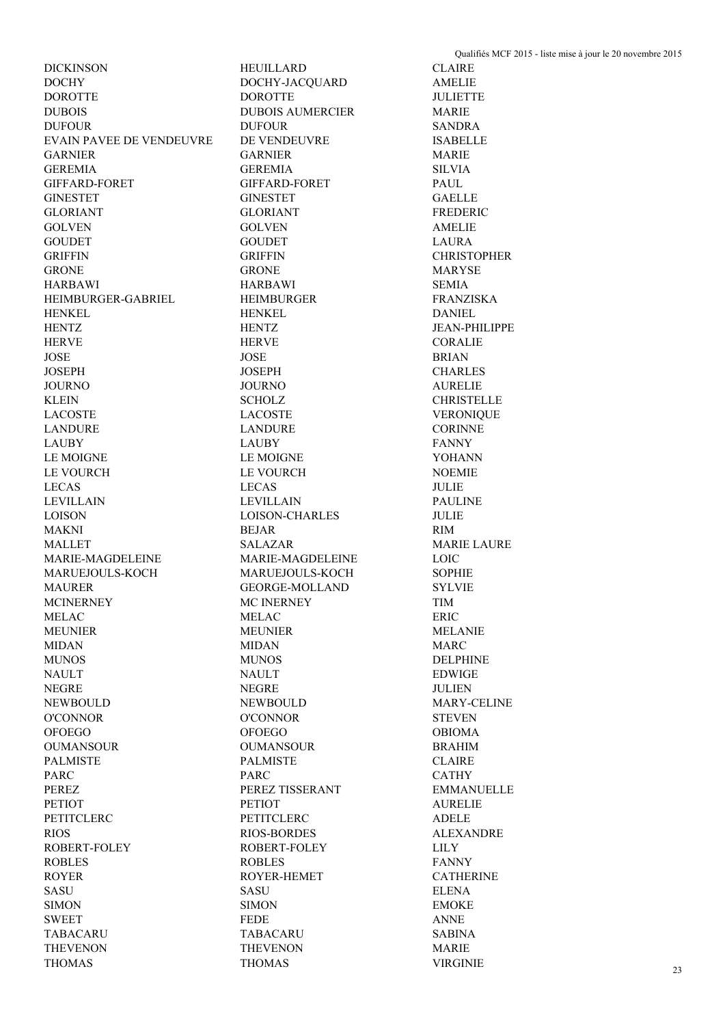DOCHY DOCHY-JACQUARD AMELIE DOROTTE DOROTTE JULIETTE DUBOIS DUBOIS AUMERCIER MARIE DUFOUR DUFOUR SANDRA EVAIN PAVEE DE VENDEUVRE DE VENDEUVRE ISABELLE GARNIER GARNIER MARIE GEREMIA GEREMIA SILVIA GIFFARD-FORET GIFFARD-FORET PAUL GINESTET GINESTET GAELLE GLORIANT GLORIANT FREDERIC GOLVEN GOLVEN AMELIE GOUDET GOUDET LAURA GRIFFIN GRIFFIN CHRISTOPHER GRONE GRONE GRONE MARYSE HARBAWI HARBAWI SEMIA HEIMBURGER-GABRIEL HEIMBURGER FRANZISKA HENKEL HENKEL DANIEL HENTZ HENTZ JEAN-PHILIPPE HERVE HERVE CORALIE JOSE JOSE BRIAN JOSEPH JOSEPH CHARLES JOURNO JOURNO AURELIE KLEIN SCHOLZ CHRISTELLE LACOSTE LACOSTE VERONIQUE LANDURE LANDURE CORINNE LAUBY LAUBY FANNY LE MOIGNE LE MOIGNE YOHANN LE VOURCH LE VOURCH NOEMIE LECAS LECAS JULIE LEVILLAIN LEVILLAIN PAULINE LOISON LOISON-CHARLES JULIE MAKNI BEJAR RIM MALLET SALAZAR MARIE LAURE MARIE-MAGDELEINE MARIE-MAGDELEINE LOIC MARUEJOULS-KOCH MARUEJOULS-KOCH SOPHIE MAURER GEORGE-MOLLAND SYLVIE MCINERNEY MC INERNEY TIM MELAC ERIC MEUNIER MEUNIER MELANIE MIDAN MIDAN MARC MUNOS MUNOS DELPHINE NAULT EDWIGE NAULT RESERVED AND DESCRIPTION OF RESERVED AND RESERVED ASSESSED. THE RESERVED OF RESERVED AND RESERVED ASSESSED. THE RESERVED OF RESERVED AND RESERVED OF RESERVED OF RESERVED OF RESERVED OF RESERVED OF RESERV NEGRE JULIEN NEWBOULD NEWBOULD MARY-CELINE O'CONNOR O'CONNOR STEVEN OFOEGO OFOEGO OBIOMA OUMANSOUR OUMANSOUR BRAHIM PALMISTE CLAIRE PALMISTE CLAIRE PARC CATHY PEREZ TISSERANT EMMANUELLE PETIOT PETIOT PETIOT AURELIE PETITCLERC PETITCLERC ADELE RIOS RIOS-BORDES ALEXANDRE ROBERT-FOLEY ROBERT-FOLEY LILY ROBLES FANNY ROYER ROYER-HEMET CATHERINE SASU SASU ELENA SIMON BIMON SIMON BIMON BIMONE SWEET FEDE ANNE TABACARU TABACARU SABINA THEVENON THEVENON MARIE

DICKINSON HEUILLARD CLAIRE THOMAS THOMAS VIRGINIE 23

Qualifiés MCF 2015 - liste mise à jour le 20 novembre 2015